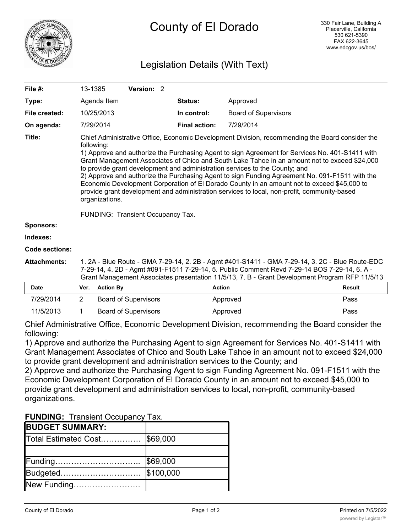

## Legislation Details (With Text)

| File #:               | 13-1385                                                                                                                                                                                                                                                                                                                                                                                                                                                                                                                                                                                                                                                                                                                                                 |                  |  | Version: 2                  |  |                      |               |                             |               |
|-----------------------|---------------------------------------------------------------------------------------------------------------------------------------------------------------------------------------------------------------------------------------------------------------------------------------------------------------------------------------------------------------------------------------------------------------------------------------------------------------------------------------------------------------------------------------------------------------------------------------------------------------------------------------------------------------------------------------------------------------------------------------------------------|------------------|--|-----------------------------|--|----------------------|---------------|-----------------------------|---------------|
| Type:                 |                                                                                                                                                                                                                                                                                                                                                                                                                                                                                                                                                                                                                                                                                                                                                         | Agenda Item      |  |                             |  | <b>Status:</b>       | Approved      |                             |               |
| File created:         |                                                                                                                                                                                                                                                                                                                                                                                                                                                                                                                                                                                                                                                                                                                                                         | 10/25/2013       |  |                             |  | In control:          |               | <b>Board of Supervisors</b> |               |
| On agenda:            |                                                                                                                                                                                                                                                                                                                                                                                                                                                                                                                                                                                                                                                                                                                                                         | 7/29/2014        |  |                             |  | <b>Final action:</b> | 7/29/2014     |                             |               |
| Title:                | Chief Administrative Office, Economic Development Division, recommending the Board consider the<br>following:<br>1) Approve and authorize the Purchasing Agent to sign Agreement for Services No. 401-S1411 with<br>Grant Management Associates of Chico and South Lake Tahoe in an amount not to exceed \$24,000<br>to provide grant development and administration services to the County; and<br>2) Approve and authorize the Purchasing Agent to sign Funding Agreement No. 091-F1511 with the<br>Economic Development Corporation of El Dorado County in an amount not to exceed \$45,000 to<br>provide grant development and administration services to local, non-profit, community-based<br>organizations.<br>FUNDING: Transient Occupancy Tax. |                  |  |                             |  |                      |               |                             |               |
| <b>Sponsors:</b>      |                                                                                                                                                                                                                                                                                                                                                                                                                                                                                                                                                                                                                                                                                                                                                         |                  |  |                             |  |                      |               |                             |               |
| Indexes:              |                                                                                                                                                                                                                                                                                                                                                                                                                                                                                                                                                                                                                                                                                                                                                         |                  |  |                             |  |                      |               |                             |               |
| <b>Code sections:</b> |                                                                                                                                                                                                                                                                                                                                                                                                                                                                                                                                                                                                                                                                                                                                                         |                  |  |                             |  |                      |               |                             |               |
| <b>Attachments:</b>   | 1. 2A - Blue Route - GMA 7-29-14, 2. 2B - Agmt #401-S1411 - GMA 7-29-14, 3. 2C - Blue Route-EDC<br>7-29-14, 4. 2D - Agmt #091-F1511 7-29-14, 5. Public Comment Revd 7-29-14 BOS 7-29-14, 6. A -<br>Grant Management Associates presentation 11/5/13, 7. B - Grant Development Program RFP 11/5/13                                                                                                                                                                                                                                                                                                                                                                                                                                                       |                  |  |                             |  |                      |               |                             |               |
| <b>Date</b>           | Ver.                                                                                                                                                                                                                                                                                                                                                                                                                                                                                                                                                                                                                                                                                                                                                    | <b>Action By</b> |  |                             |  |                      | <b>Action</b> |                             | <b>Result</b> |
| 7/29/2014             | 2                                                                                                                                                                                                                                                                                                                                                                                                                                                                                                                                                                                                                                                                                                                                                       |                  |  | <b>Board of Supervisors</b> |  |                      | Approved      |                             | Pass          |

11/5/2013 1 Board of Supervisors **Approved Pass Pass** 

Chief Administrative Office, Economic Development Division, recommending the Board consider the following:

1) Approve and authorize the Purchasing Agent to sign Agreement for Services No. 401-S1411 with Grant Management Associates of Chico and South Lake Tahoe in an amount not to exceed \$24,000 to provide grant development and administration services to the County; and

2) Approve and authorize the Purchasing Agent to sign Funding Agreement No. 091-F1511 with the Economic Development Corporation of El Dorado County in an amount not to exceed \$45,000 to provide grant development and administration services to local, non-profit, community-based organizations.

### **FUNDING:** Transient Occupancy Tax.

| <b>BUDGET SUMMARY:</b>        |           |
|-------------------------------|-----------|
| Total Estimated Cost \$69,000 |           |
|                               |           |
|                               | \$69,000  |
| Budgeted                      | \$100,000 |
| New Funding                   |           |